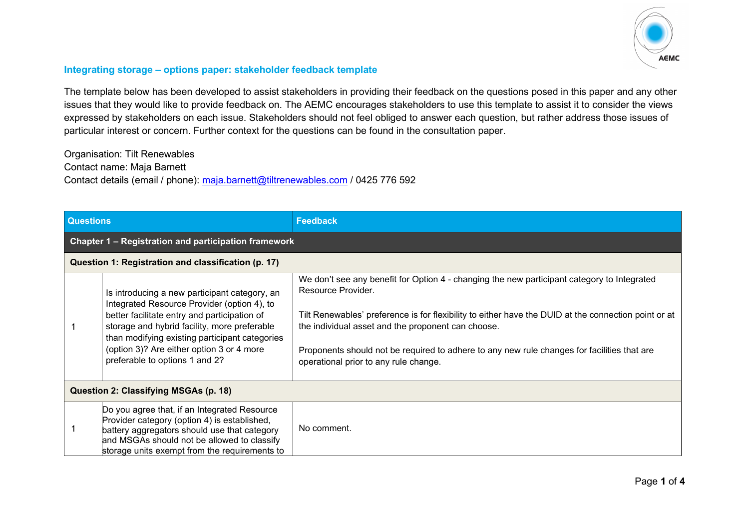

## **Integrating storage – options paper: stakeholder feedback template**

The template below has been developed to assist stakeholders in providing their feedback on the questions posed in this paper and any other issues that they would like to provide feedback on. The AEMC encourages stakeholders to use this template to assist it to consider the views expressed by stakeholders on each issue. Stakeholders should not feel obliged to answer each question, but rather address those issues of particular interest or concern. Further context for the questions can be found in the consultation paper.

Organisation: Tilt Renewables Contact name: Maja Barnett Contact details (email / phone): [maja.barnett@tiltrenewables.com](mailto:maja.barnett@tiltrenewables.com) / 0425 776 592

| <b>Questions</b>                                     |                                                                                                                                                                                                                                                                                                                               | <b>Feedback</b>                                                                                                                                                                                                                                                                                                                                                                                                         |  |  |  |  |
|------------------------------------------------------|-------------------------------------------------------------------------------------------------------------------------------------------------------------------------------------------------------------------------------------------------------------------------------------------------------------------------------|-------------------------------------------------------------------------------------------------------------------------------------------------------------------------------------------------------------------------------------------------------------------------------------------------------------------------------------------------------------------------------------------------------------------------|--|--|--|--|
| Chapter 1 - Registration and participation framework |                                                                                                                                                                                                                                                                                                                               |                                                                                                                                                                                                                                                                                                                                                                                                                         |  |  |  |  |
| Question 1: Registration and classification (p. 17)  |                                                                                                                                                                                                                                                                                                                               |                                                                                                                                                                                                                                                                                                                                                                                                                         |  |  |  |  |
|                                                      | Is introducing a new participant category, an<br>Integrated Resource Provider (option 4), to<br>better facilitate entry and participation of<br>storage and hybrid facility, more preferable<br>than modifying existing participant categories<br>(option 3)? Are either option 3 or 4 more<br>preferable to options 1 and 2? | We don't see any benefit for Option 4 - changing the new participant category to Integrated<br>Resource Provider.<br>Tilt Renewables' preference is for flexibility to either have the DUID at the connection point or at<br>the individual asset and the proponent can choose.<br>Proponents should not be required to adhere to any new rule changes for facilities that are<br>operational prior to any rule change. |  |  |  |  |
| Question 2: Classifying MSGAs (p. 18)                |                                                                                                                                                                                                                                                                                                                               |                                                                                                                                                                                                                                                                                                                                                                                                                         |  |  |  |  |
|                                                      | Do you agree that, if an Integrated Resource<br>Provider category (option 4) is established,<br>battery aggregators should use that category<br>and MSGAs should not be allowed to classify<br>storage units exempt from the requirements to                                                                                  | No comment.                                                                                                                                                                                                                                                                                                                                                                                                             |  |  |  |  |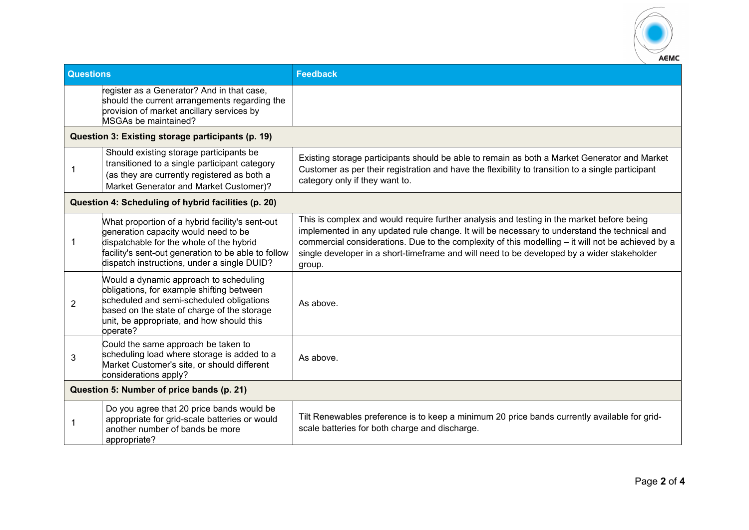

| <b>Questions</b>                                  |                                                                                                                                                                                                                                           | <b>Feedback</b>                                                                                                                                                                                                                                                                                                                                                                                        |  |  |
|---------------------------------------------------|-------------------------------------------------------------------------------------------------------------------------------------------------------------------------------------------------------------------------------------------|--------------------------------------------------------------------------------------------------------------------------------------------------------------------------------------------------------------------------------------------------------------------------------------------------------------------------------------------------------------------------------------------------------|--|--|
|                                                   | register as a Generator? And in that case,<br>should the current arrangements regarding the<br>provision of market ancillary services by<br>MSGAs be maintained?                                                                          |                                                                                                                                                                                                                                                                                                                                                                                                        |  |  |
| Question 3: Existing storage participants (p. 19) |                                                                                                                                                                                                                                           |                                                                                                                                                                                                                                                                                                                                                                                                        |  |  |
| 1                                                 | Should existing storage participants be<br>transitioned to a single participant category<br>(as they are currently registered as both a<br>Market Generator and Market Customer)?                                                         | Existing storage participants should be able to remain as both a Market Generator and Market<br>Customer as per their registration and have the flexibility to transition to a single participant<br>category only if they want to.                                                                                                                                                                    |  |  |
|                                                   | Question 4: Scheduling of hybrid facilities (p. 20)                                                                                                                                                                                       |                                                                                                                                                                                                                                                                                                                                                                                                        |  |  |
| 1                                                 | What proportion of a hybrid facility's sent-out<br>generation capacity would need to be<br>dispatchable for the whole of the hybrid<br>facility's sent-out generation to be able to follow<br>dispatch instructions, under a single DUID? | This is complex and would require further analysis and testing in the market before being<br>implemented in any updated rule change. It will be necessary to understand the technical and<br>commercial considerations. Due to the complexity of this modelling - it will not be achieved by a<br>single developer in a short-timeframe and will need to be developed by a wider stakeholder<br>group. |  |  |
| 2                                                 | Would a dynamic approach to scheduling<br>obligations, for example shifting between<br>scheduled and semi-scheduled obligations<br>based on the state of charge of the storage<br>unit, be appropriate, and how should this<br>operate?   | As above.                                                                                                                                                                                                                                                                                                                                                                                              |  |  |
| 3                                                 | Could the same approach be taken to<br>scheduling load where storage is added to a<br>Market Customer's site, or should different<br>considerations apply?                                                                                | As above.                                                                                                                                                                                                                                                                                                                                                                                              |  |  |
| Question 5: Number of price bands (p. 21)         |                                                                                                                                                                                                                                           |                                                                                                                                                                                                                                                                                                                                                                                                        |  |  |
| 1                                                 | Do you agree that 20 price bands would be<br>appropriate for grid-scale batteries or would<br>another number of bands be more<br>appropriate?                                                                                             | Tilt Renewables preference is to keep a minimum 20 price bands currently available for grid-<br>scale batteries for both charge and discharge.                                                                                                                                                                                                                                                         |  |  |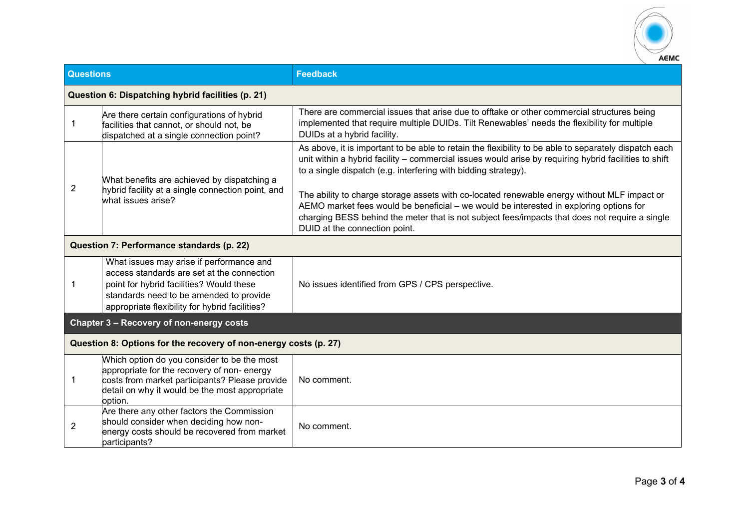

| <b>Questions</b>                                  |                                                                                                                                                                                                                                 | <b>Feedback</b>                                                                                                                                                                                                                                                                                                                                                                                                                                                                                                                                                                                              |  |  |
|---------------------------------------------------|---------------------------------------------------------------------------------------------------------------------------------------------------------------------------------------------------------------------------------|--------------------------------------------------------------------------------------------------------------------------------------------------------------------------------------------------------------------------------------------------------------------------------------------------------------------------------------------------------------------------------------------------------------------------------------------------------------------------------------------------------------------------------------------------------------------------------------------------------------|--|--|
| Question 6: Dispatching hybrid facilities (p. 21) |                                                                                                                                                                                                                                 |                                                                                                                                                                                                                                                                                                                                                                                                                                                                                                                                                                                                              |  |  |
| -1                                                | Are there certain configurations of hybrid<br>facilities that cannot, or should not, be<br>dispatched at a single connection point?                                                                                             | There are commercial issues that arise due to offtake or other commercial structures being<br>implemented that require multiple DUIDs. Tilt Renewables' needs the flexibility for multiple<br>DUIDs at a hybrid facility.                                                                                                                                                                                                                                                                                                                                                                                    |  |  |
| 2                                                 | What benefits are achieved by dispatching a<br>hybrid facility at a single connection point, and<br>what issues arise?                                                                                                          | As above, it is important to be able to retain the flexibility to be able to separately dispatch each<br>unit within a hybrid facility - commercial issues would arise by requiring hybrid facilities to shift<br>to a single dispatch (e.g. interfering with bidding strategy).<br>The ability to charge storage assets with co-located renewable energy without MLF impact or<br>AEMO market fees would be beneficial – we would be interested in exploring options for<br>charging BESS behind the meter that is not subject fees/impacts that does not require a single<br>DUID at the connection point. |  |  |
|                                                   | Question 7: Performance standards (p. 22)                                                                                                                                                                                       |                                                                                                                                                                                                                                                                                                                                                                                                                                                                                                                                                                                                              |  |  |
| -1                                                | What issues may arise if performance and<br>access standards are set at the connection<br>point for hybrid facilities? Would these<br>standards need to be amended to provide<br>appropriate flexibility for hybrid facilities? | No issues identified from GPS / CPS perspective.                                                                                                                                                                                                                                                                                                                                                                                                                                                                                                                                                             |  |  |
|                                                   | Chapter 3 - Recovery of non-energy costs                                                                                                                                                                                        |                                                                                                                                                                                                                                                                                                                                                                                                                                                                                                                                                                                                              |  |  |
|                                                   | Question 8: Options for the recovery of non-energy costs (p. 27)                                                                                                                                                                |                                                                                                                                                                                                                                                                                                                                                                                                                                                                                                                                                                                                              |  |  |
| -1                                                | Which option do you consider to be the most<br>appropriate for the recovery of non-energy<br>costs from market participants? Please provide<br>detail on why it would be the most appropriate<br>option.                        | No comment.                                                                                                                                                                                                                                                                                                                                                                                                                                                                                                                                                                                                  |  |  |
| $\overline{2}$                                    | Are there any other factors the Commission<br>should consider when deciding how non-<br>energy costs should be recovered from market<br>participants?                                                                           | No comment.                                                                                                                                                                                                                                                                                                                                                                                                                                                                                                                                                                                                  |  |  |